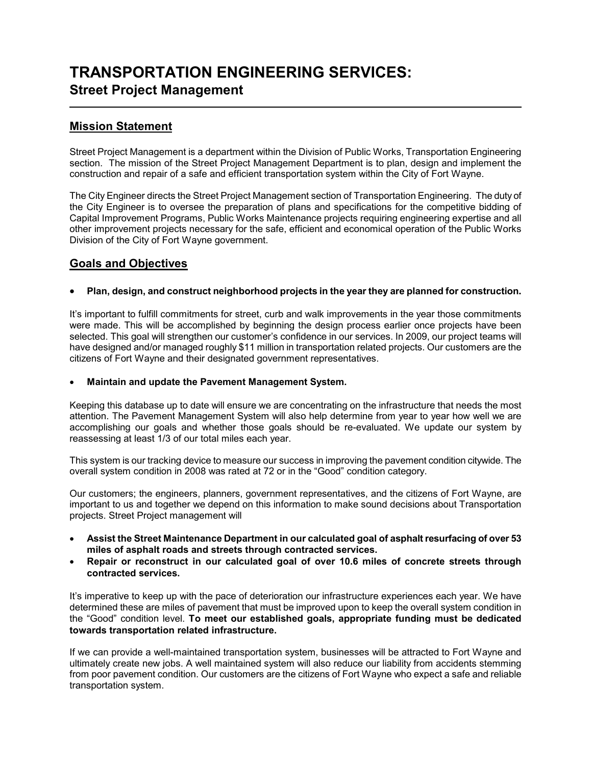# **TRANSPORTATION ENGINEERING SERVICES: Street Project Management**

## **Mission Statement**

L

Street Project Management is a department within the Division of Public Works, Transportation Engineering section. The mission of the Street Project Management Department is to plan, design and implement the construction and repair of a safe and efficient transportation system within the City of Fort Wayne.

The City Engineer directs the Street Project Management section of Transportation Engineering. The duty of the City Engineer is to oversee the preparation of plans and specifications for the competitive bidding of Capital Improvement Programs, Public Works Maintenance projects requiring engineering expertise and all other improvement projects necessary for the safe, efficient and economical operation of the Public Works Division of the City of Fort Wayne government.

## **Goals and Objectives**

### • **Plan, design, and construct neighborhood projects in the year they are planned for construction.**

It's important to fulfill commitments for street, curb and walk improvements in the year those commitments were made. This will be accomplished by beginning the design process earlier once projects have been selected. This goal will strengthen our customer's confidence in our services. In 2009, our project teams will have designed and/or managed roughly \$11 million in transportation related projects. Our customers are the citizens of Fort Wayne and their designated government representatives.

#### • **Maintain and update the Pavement Management System.**

Keeping this database up to date will ensure we are concentrating on the infrastructure that needs the most attention. The Pavement Management System will also help determine from year to year how well we are accomplishing our goals and whether those goals should be re-evaluated. We update our system by reassessing at least 1/3 of our total miles each year.

This system is our tracking device to measure our success in improving the pavement condition citywide. The overall system condition in 2008 was rated at 72 or in the "Good" condition category.

Our customers; the engineers, planners, government representatives, and the citizens of Fort Wayne, are important to us and together we depend on this information to make sound decisions about Transportation projects. Street Project management will

- **Assist the Street Maintenance Department in our calculated goal of asphalt resurfacing of over 53 miles of asphalt roads and streets through contracted services.**
- **Repair or reconstruct in our calculated goal of over 10.6 miles of concrete streets through contracted services.**

It's imperative to keep up with the pace of deterioration our infrastructure experiences each year. We have determined these are miles of pavement that must be improved upon to keep the overall system condition in the "Good" condition level. **To meet our established goals, appropriate funding must be dedicated towards transportation related infrastructure.**

If we can provide a well-maintained transportation system, businesses will be attracted to Fort Wayne and ultimately create new jobs. A well maintained system will also reduce our liability from accidents stemming from poor pavement condition. Our customers are the citizens of Fort Wayne who expect a safe and reliable transportation system.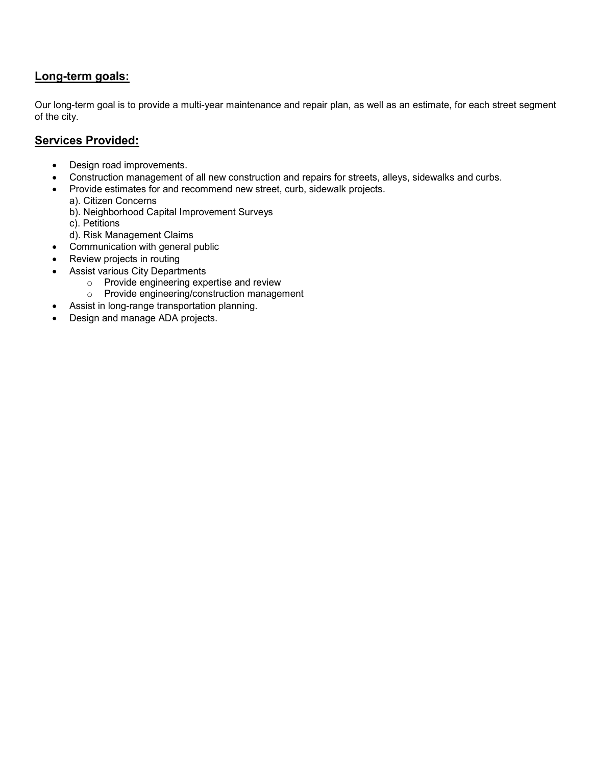## **Long-term goals:**

Our long-term goal is to provide a multi-year maintenance and repair plan, as well as an estimate, for each street segment of the city.

## **Services Provided:**

- Design road improvements.
- Construction management of all new construction and repairs for streets, alleys, sidewalks and curbs.
- Provide estimates for and recommend new street, curb, sidewalk projects.
	- a). Citizen Concerns
		- b). Neighborhood Capital Improvement Surveys
		- c). Petitions
	- d). Risk Management Claims
- Communication with general public
- Review projects in routing
- Assist various City Departments
	- o Provide engineering expertise and review
	- o Provide engineering/construction management
- Assist in long-range transportation planning.
- Design and manage ADA projects.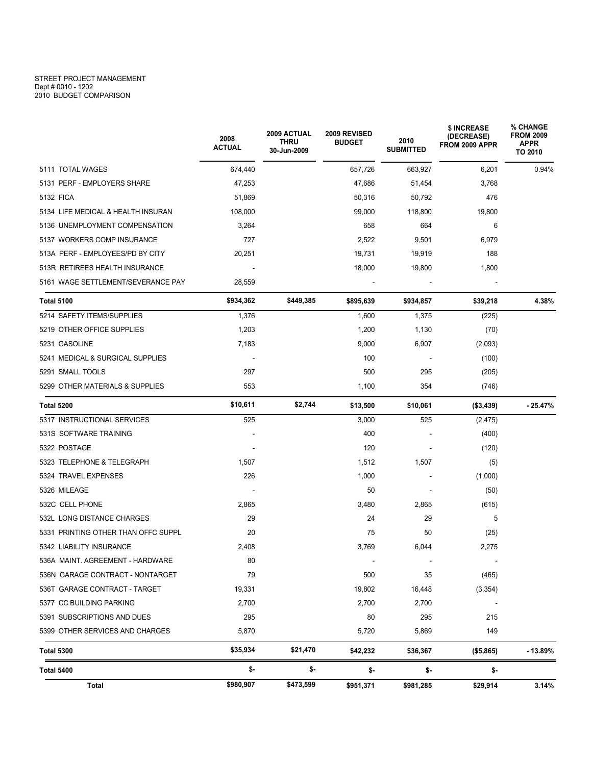#### STREET PROJECT MANAGEMENT Dept # 0010 - 1202 2010 BUDGET COMPARISON

|                                     | 2008<br><b>ACTUAL</b>    | <b>2009 ACTUAL</b><br><b>THRU</b><br>30-Jun-2009 | 2009 REVISED<br><b>BUDGET</b> | 2010<br><b>SUBMITTED</b> | \$ INCREASE<br>(DECREASE)<br>FROM 2009 APPR | % CHANGE<br><b>FROM 2009</b><br><b>APPR</b><br>TO 2010 |
|-------------------------------------|--------------------------|--------------------------------------------------|-------------------------------|--------------------------|---------------------------------------------|--------------------------------------------------------|
| 5111 TOTAL WAGES                    | 674,440                  |                                                  | 657,726                       | 663,927                  | 6,201                                       | 0.94%                                                  |
| 5131 PERF - EMPLOYERS SHARE         | 47,253                   |                                                  | 47,686                        | 51,454                   | 3,768                                       |                                                        |
| 5132 FICA                           | 51,869                   |                                                  | 50,316                        | 50,792                   | 476                                         |                                                        |
| 5134 LIFE MEDICAL & HEALTH INSURAN  | 108,000                  |                                                  | 99,000                        | 118,800                  | 19,800                                      |                                                        |
| 5136 UNEMPLOYMENT COMPENSATION      | 3,264                    |                                                  | 658                           | 664                      | 6                                           |                                                        |
| 5137 WORKERS COMP INSURANCE         | 727                      |                                                  | 2,522                         | 9,501                    | 6,979                                       |                                                        |
| 513A PERF - EMPLOYEES/PD BY CITY    | 20,251                   |                                                  | 19,731                        | 19,919                   | 188                                         |                                                        |
| 513R RETIREES HEALTH INSURANCE      | $\overline{\phantom{a}}$ |                                                  | 18,000                        | 19,800                   | 1,800                                       |                                                        |
| 5161 WAGE SETTLEMENT/SEVERANCE PAY  | 28,559                   |                                                  |                               |                          |                                             |                                                        |
| <b>Total 5100</b>                   | \$934,362                | \$449,385                                        | \$895,639                     | \$934,857                | \$39,218                                    | 4.38%                                                  |
| 5214 SAFETY ITEMS/SUPPLIES          | 1,376                    |                                                  | 1,600                         | 1,375                    | (225)                                       |                                                        |
| 5219 OTHER OFFICE SUPPLIES          | 1,203                    |                                                  | 1,200                         | 1,130                    | (70)                                        |                                                        |
| 5231 GASOLINE                       | 7,183                    |                                                  | 9,000                         | 6,907                    | (2,093)                                     |                                                        |
| 5241 MEDICAL & SURGICAL SUPPLIES    |                          |                                                  | 100                           |                          | (100)                                       |                                                        |
| 5291 SMALL TOOLS                    | 297                      |                                                  | 500                           | 295                      | (205)                                       |                                                        |
| 5299 OTHER MATERIALS & SUPPLIES     | 553                      |                                                  | 1,100                         | 354                      | (746)                                       |                                                        |
| Total 5200                          | \$10,611                 | \$2,744                                          | \$13,500                      | \$10,061                 | ( \$3,439)                                  | $-25.47%$                                              |
| 5317 INSTRUCTIONAL SERVICES         | 525                      |                                                  | 3,000                         | 525                      | (2, 475)                                    |                                                        |
| 531S SOFTWARE TRAINING              |                          |                                                  | 400                           |                          | (400)                                       |                                                        |
| 5322 POSTAGE                        |                          |                                                  | 120                           |                          | (120)                                       |                                                        |
| 5323 TELEPHONE & TELEGRAPH          | 1,507                    |                                                  | 1,512                         | 1,507                    | (5)                                         |                                                        |
| 5324 TRAVEL EXPENSES                | 226                      |                                                  | 1,000                         |                          | (1,000)                                     |                                                        |
| 5326 MILEAGE                        |                          |                                                  | 50                            |                          | (50)                                        |                                                        |
| 532C CELL PHONE                     | 2,865                    |                                                  | 3,480                         | 2,865                    | (615)                                       |                                                        |
| 532L LONG DISTANCE CHARGES          | 29                       |                                                  | 24                            | 29                       | 5                                           |                                                        |
| 5331 PRINTING OTHER THAN OFFC SUPPL | 20                       |                                                  | 75                            | 50                       | (25)                                        |                                                        |
| 5342 LIABILITY INSURANCE            | 2,408                    |                                                  | 3,769                         | 6,044                    | 2,275                                       |                                                        |
| 536A MAINT. AGREEMENT - HARDWARE    | 80                       |                                                  |                               | $\overline{\phantom{a}}$ |                                             |                                                        |
| 536N GARAGE CONTRACT - NONTARGET    | 79                       |                                                  | 500                           | 35                       | (465)                                       |                                                        |
| 536T GARAGE CONTRACT - TARGET       | 19,331                   |                                                  | 19,802                        | 16,448                   | (3, 354)                                    |                                                        |
| 5377 CC BUILDING PARKING            | 2,700                    |                                                  | 2,700                         | 2,700                    | $\overline{\phantom{a}}$                    |                                                        |
| 5391 SUBSCRIPTIONS AND DUES         | 295                      |                                                  | 80                            | 295                      | 215                                         |                                                        |
| 5399 OTHER SERVICES AND CHARGES     | 5,870                    |                                                  | 5,720                         | 5,869                    | 149                                         |                                                        |
| <b>Total 5300</b>                   | \$35,934                 | \$21,470                                         | \$42,232                      | \$36,367                 | (\$5,865)                                   | $-13.89%$                                              |
| Total 5400                          | \$-                      | \$-                                              | \$-                           | \$-                      | \$-                                         |                                                        |
| Total                               | \$980,907                | \$473,599                                        | \$951,371                     | \$981,285                | \$29,914                                    | 3.14%                                                  |